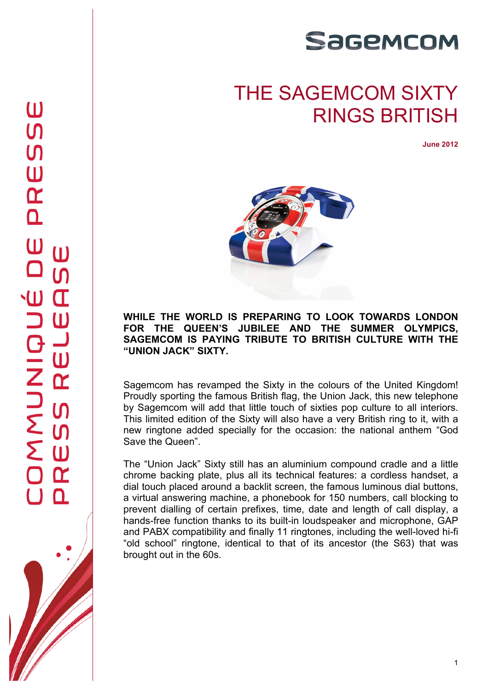

## THE SAGEMCOM SIXTY RINGS BRITISH

**June 2012**



**WHILE THE WORLD IS PREPARING TO LOOK TOWARDS LONDON FOR THE QUEEN'S JUBILEE AND THE SUMMER OLYMPICS, SAGEMCOM IS PAYING TRIBUTE TO BRITISH CULTURE WITH THE "UNION JACK" SIXTY.**

Sagemcom has revamped the Sixty in the colours of the United Kingdom! Proudly sporting the famous British flag, the Union Jack, this new telephone by Sagemcom will add that little touch of sixties pop culture to all interiors. This limited edition of the Sixty will also have a very British ring to it, with a new ringtone added specially for the occasion: the national anthem "God Save the Queen".

The "Union Jack" Sixty still has an aluminium compound cradle and a little chrome backing plate, plus all its technical features: a cordless handset, a dial touch placed around a backlit screen, the famous luminous dial buttons, a virtual answering machine, a phonebook for 150 numbers, call blocking to prevent dialling of certain prefixes, time, date and length of call display, a hands-free function thanks to its built-in loudspeaker and microphone, GAP and PABX compatibility and finally 11 ringtones, including the well-loved hi-fi "old school" ringtone, identical to that of its ancestor (the S63) that was brought out in the 60s.



1